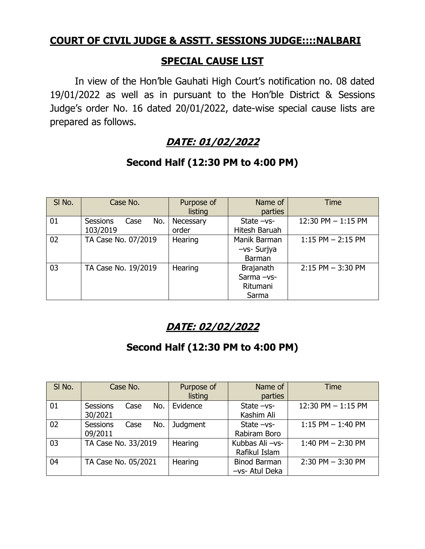## **COURT OF CIVIL JUDGE & ASSTT. SESSIONS JUDGE::::NALBARI**

#### **SPECIAL CAUSE LIST**

In view of the Hon'ble Gauhati High Court's notification no. 08 dated 19/01/2022 as well as in pursuant to the Hon'ble District & Sessions Judge's order No. 16 dated 20/01/2022, date-wise special cause lists are prepared as follows.

# **DATE: 01/02/2022**

| SI No. | Case No.                                   | Purpose of<br>listing | Name of<br>parties                                 | <b>Time</b>           |
|--------|--------------------------------------------|-----------------------|----------------------------------------------------|-----------------------|
| 01     | <b>Sessions</b><br>No.<br>Case<br>103/2019 | Necessary<br>order    | State $-vs-$<br>Hitesh Baruah                      | $12:30$ PM $-1:15$ PM |
| 02     | TA Case No. 07/2019                        | Hearing               | Manik Barman<br>-vs- Surjya<br>Barman              | $1:15$ PM $- 2:15$ PM |
| 03     | TA Case No. 19/2019                        | Hearing               | <b>Brajanath</b><br>Sarma-vs-<br>Ritumani<br>Sarma | $2:15$ PM $-3:30$ PM  |

### **Second Half (12:30 PM to 4:00 PM)**

# **DATE: 02/02/2022**

## **Second Half (12:30 PM to 4:00 PM)**

| SI No. | Case No.                                  | Purpose of<br>listing | Name of<br>parties                    | <b>Time</b>          |
|--------|-------------------------------------------|-----------------------|---------------------------------------|----------------------|
| 01     | No.<br><b>Sessions</b><br>Case<br>30/2021 | Evidence              | State $-vs-$<br>Kashim Ali            | 12:30 PM $-$ 1:15 PM |
| 02     | <b>Sessions</b><br>No.<br>Case<br>09/2011 | Judgment              | State $-vs-$<br>Rabiram Boro          | $1:15$ PM $-1:40$ PM |
| 03     | TA Case No. 33/2019                       | Hearing               | Kubbas Ali-vs-<br>Rafikul Islam       | 1:40 PM $-$ 2:30 PM  |
| 04     | TA Case No. 05/2021                       | Hearing               | <b>Binod Barman</b><br>-vs- Atul Deka | $2:30$ PM $-3:30$ PM |